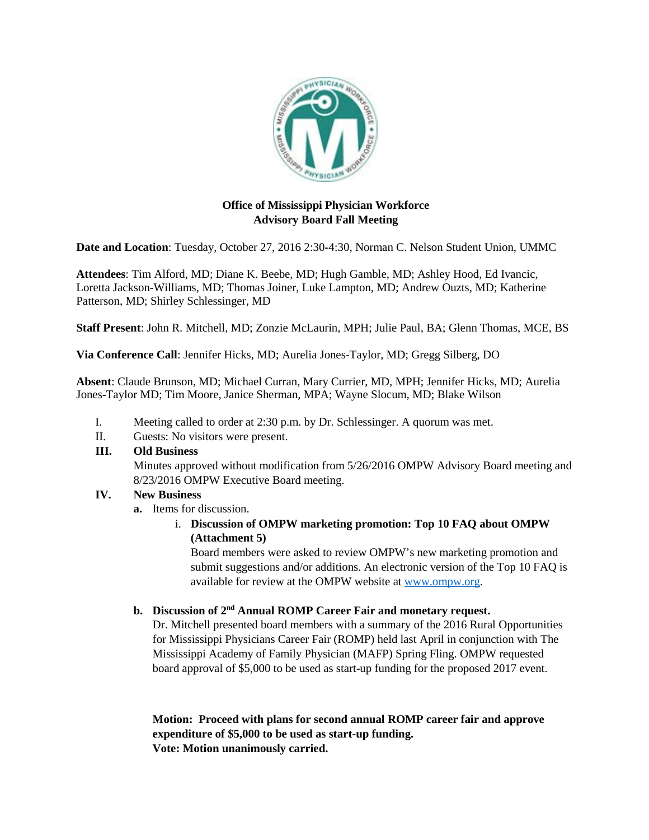

## **Office of Mississippi Physician Workforce Advisory Board Fall Meeting**

**Date and Location**: Tuesday, October 27, 2016 2:30-4:30, Norman C. Nelson Student Union, UMMC

**Attendees**: Tim Alford, MD; Diane K. Beebe, MD; Hugh Gamble, MD; Ashley Hood, Ed Ivancic, Loretta Jackson-Williams, MD; Thomas Joiner, Luke Lampton, MD; Andrew Ouzts, MD; Katherine Patterson, MD; Shirley Schlessinger, MD

**Staff Present**: John R. Mitchell, MD; Zonzie McLaurin, MPH; Julie Paul, BA; Glenn Thomas, MCE, BS

**Via Conference Call**: Jennifer Hicks, MD; Aurelia Jones-Taylor, MD; Gregg Silberg, DO

**Absent**: Claude Brunson, MD; Michael Curran, Mary Currier, MD, MPH; Jennifer Hicks, MD; Aurelia Jones-Taylor MD; Tim Moore, Janice Sherman, MPA; Wayne Slocum, MD; Blake Wilson

- I. Meeting called to order at 2:30 p.m. by Dr. Schlessinger. A quorum was met.
- II. Guests: No visitors were present.

## **III. Old Business**

Minutes approved without modification from 5/26/2016 OMPW Advisory Board meeting and 8/23/2016 OMPW Executive Board meeting.

# **IV. New Business**

**a.** Items for discussion.

i. **Discussion of OMPW marketing promotion: Top 10 FAQ about OMPW (Attachment 5)** 

Board members were asked to review OMPW's new marketing promotion and submit suggestions and/or additions. An electronic version of the Top 10 FAQ is available for review at the OMPW website at [www.ompw.org.](http://www.ompw.org/)

# **b. Discussion of 2nd Annual ROMP Career Fair and monetary request.**

Dr. Mitchell presented board members with a summary of the 2016 Rural Opportunities for Mississippi Physicians Career Fair (ROMP) held last April in conjunction with The Mississippi Academy of Family Physician (MAFP) Spring Fling. OMPW requested board approval of \$5,000 to be used as start-up funding for the proposed 2017 event.

**Motion: Proceed with plans for second annual ROMP career fair and approve expenditure of \$5,000 to be used as start-up funding. Vote: Motion unanimously carried.**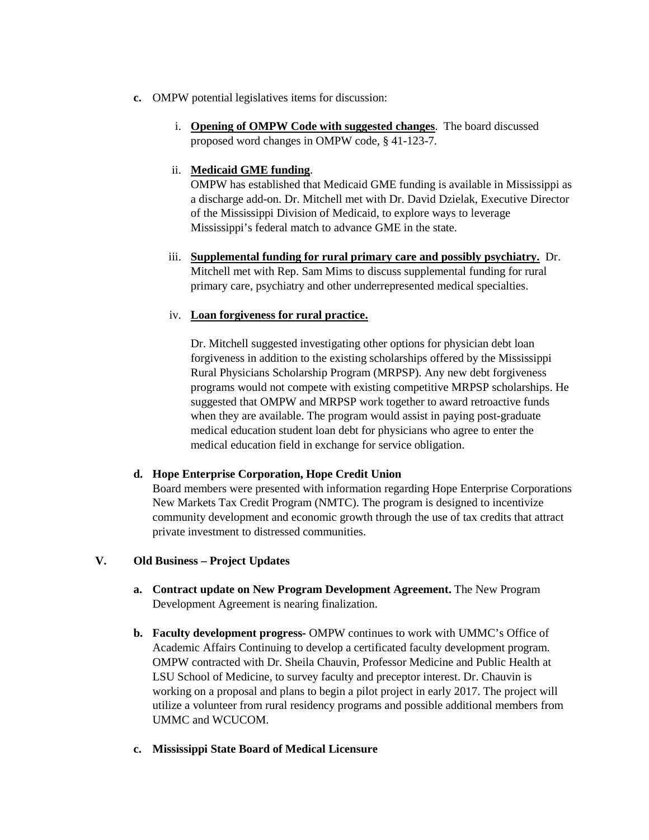- **c.** OMPW potential legislatives items for discussion:
	- i. **Opening of OMPW Code with suggested changes**. The board discussed proposed word changes in OMPW code, § 41-123-7.

#### ii. **Medicaid GME funding**.

OMPW has established that Medicaid GME funding is available in Mississippi as a discharge add-on. Dr. Mitchell met with Dr. David Dzielak, Executive Director of the Mississippi Division of Medicaid, to explore ways to leverage Mississippi's federal match to advance GME in the state.

iii. **Supplemental funding for rural primary care and possibly psychiatry.** Dr. Mitchell met with Rep. Sam Mims to discuss supplemental funding for rural primary care, psychiatry and other underrepresented medical specialties.

## iv. **Loan forgiveness for rural practice.**

Dr. Mitchell suggested investigating other options for physician debt loan forgiveness in addition to the existing scholarships offered by the Mississippi Rural Physicians Scholarship Program (MRPSP). Any new debt forgiveness programs would not compete with existing competitive MRPSP scholarships. He suggested that OMPW and MRPSP work together to award retroactive funds when they are available. The program would assist in paying post-graduate medical education student loan debt for physicians who agree to enter the medical education field in exchange for service obligation.

#### **d. Hope Enterprise Corporation, Hope Credit Union**

Board members were presented with information regarding Hope Enterprise Corporations New Markets Tax Credit Program (NMTC). The program is designed to incentivize community development and economic growth through the use of tax credits that attract private investment to distressed communities.

## **V. Old Business – Project Updates**

- **a. Contract update on New Program Development Agreement.** The New Program Development Agreement is nearing finalization.
- **b. Faculty development progress-** OMPW continues to work with UMMC's Office of Academic Affairs Continuing to develop a certificated faculty development program. OMPW contracted with Dr. Sheila Chauvin, Professor Medicine and Public Health at LSU School of Medicine, to survey faculty and preceptor interest. Dr. Chauvin is working on a proposal and plans to begin a pilot project in early 2017. The project will utilize a volunteer from rural residency programs and possible additional members from UMMC and WCUCOM.
- **c. Mississippi State Board of Medical Licensure**